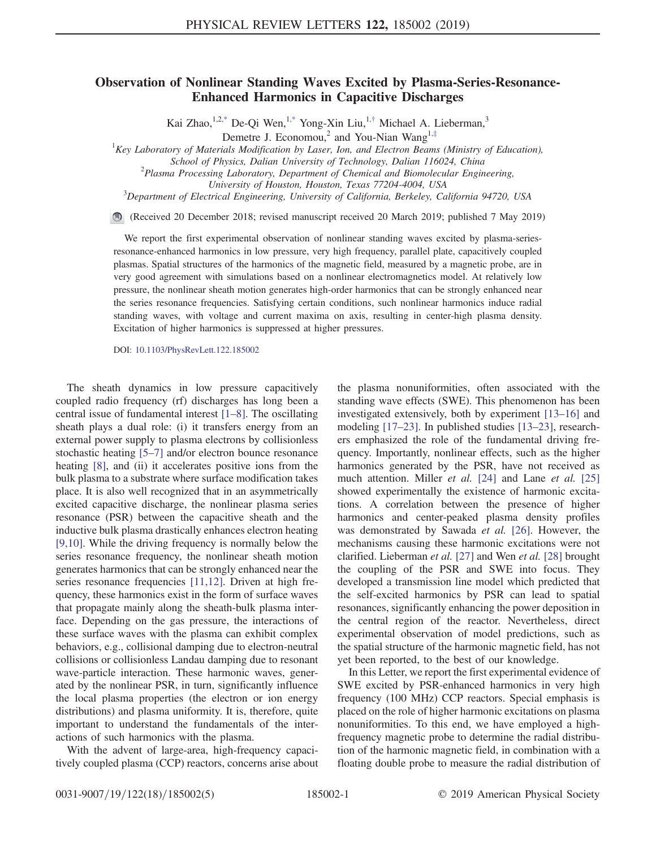## <span id="page-0-0"></span>Observation of Nonlinear Standing Waves Excited by Plasma-Series-Resonance-Enhanced Harmonics in Capacitive Discharges

Kai Zhao,  $1,2,3$ <sup>\*</sup> De-Qi Wen,  $1,3$ <sup>\*</sup> Yong-Xin Liu,  $1,7$ <sup>[†](#page-4-1)</sup> Michael A. Lieberman,  $3$ <sup>3</sup>

Demetre J. Economou,<sup>2</sup> and You-Nian Wang<sup>1,[‡](#page-4-2)</sup>

<span id="page-0-1"></span> ${}^{1}$ Key Laboratory of Materials Modification by Laser, Ion, and Electron Beams (Ministry of Education),

School of Physics, Dalian University of Technology, Dalian 116024, China

 $P<sup>2</sup>$ Plasma Processing Laboratory, Department of Chemical and Biomolecular Engineering,

University of Houston, Houston, Texas 77204-4004, USA <sup>3</sup>

 $3$ Department of Electrical Engineering, University of California, Berkeley, California 94720, USA

(Received 20 December 2018; revised manuscript received 20 March 2019; published 7 May 2019)

We report the first experimental observation of nonlinear standing waves excited by plasma-seriesresonance-enhanced harmonics in low pressure, very high frequency, parallel plate, capacitively coupled plasmas. Spatial structures of the harmonics of the magnetic field, measured by a magnetic probe, are in very good agreement with simulations based on a nonlinear electromagnetics model. At relatively low pressure, the nonlinear sheath motion generates high-order harmonics that can be strongly enhanced near the series resonance frequencies. Satisfying certain conditions, such nonlinear harmonics induce radial standing waves, with voltage and current maxima on axis, resulting in center-high plasma density. Excitation of higher harmonics is suppressed at higher pressures.

DOI: [10.1103/PhysRevLett.122.185002](https://doi.org/10.1103/PhysRevLett.122.185002)

The sheath dynamics in low pressure capacitively coupled radio frequency (rf) discharges has long been a central issue of fundamental interest [1–[8\]](#page-4-3). The oscillating sheath plays a dual role: (i) it transfers energy from an external power supply to plasma electrons by collisionless stochastic heating [\[5](#page-4-4)–7] and/or electron bounce resonance heating [\[8\],](#page-4-5) and (ii) it accelerates positive ions from the bulk plasma to a substrate where surface modification takes place. It is also well recognized that in an asymmetrically excited capacitive discharge, the nonlinear plasma series resonance (PSR) between the capacitive sheath and the inductive bulk plasma drastically enhances electron heating [\[9,10\]](#page-4-6). While the driving frequency is normally below the series resonance frequency, the nonlinear sheath motion generates harmonics that can be strongly enhanced near the series resonance frequencies [\[11,12\].](#page-4-7) Driven at high frequency, these harmonics exist in the form of surface waves that propagate mainly along the sheath-bulk plasma interface. Depending on the gas pressure, the interactions of these surface waves with the plasma can exhibit complex behaviors, e.g., collisional damping due to electron-neutral collisions or collisionless Landau damping due to resonant wave-particle interaction. These harmonic waves, generated by the nonlinear PSR, in turn, significantly influence the local plasma properties (the electron or ion energy distributions) and plasma uniformity. It is, therefore, quite important to understand the fundamentals of the interactions of such harmonics with the plasma.

With the advent of large-area, high-frequency capacitively coupled plasma (CCP) reactors, concerns arise about the plasma nonuniformities, often associated with the standing wave effects (SWE). This phenomenon has been investigated extensively, both by experiment [\[13](#page-4-8)–16] and modeling [\[17](#page-4-9)–23]. In published studies [13–[23\],](#page-4-8) researchers emphasized the role of the fundamental driving frequency. Importantly, nonlinear effects, such as the higher harmonics generated by the PSR, have not received as much attention. Miller *et al.* [\[24\]](#page-4-10) and Lane *et al.* [\[25\]](#page-4-11) showed experimentally the existence of harmonic excitations. A correlation between the presence of higher harmonics and center-peaked plasma density profiles was demonstrated by Sawada et al. [\[26\].](#page-4-12) However, the mechanisms causing these harmonic excitations were not clarified. Lieberman et al. [\[27\]](#page-4-13) and Wen et al. [\[28\]](#page-4-14) brought the coupling of the PSR and SWE into focus. They developed a transmission line model which predicted that the self-excited harmonics by PSR can lead to spatial resonances, significantly enhancing the power deposition in the central region of the reactor. Nevertheless, direct experimental observation of model predictions, such as the spatial structure of the harmonic magnetic field, has not yet been reported, to the best of our knowledge.

In this Letter, we report the first experimental evidence of SWE excited by PSR-enhanced harmonics in very high frequency (100 MHz) CCP reactors. Special emphasis is placed on the role of higher harmonic excitations on plasma nonuniformities. To this end, we have employed a highfrequency magnetic probe to determine the radial distribution of the harmonic magnetic field, in combination with a floating double probe to measure the radial distribution of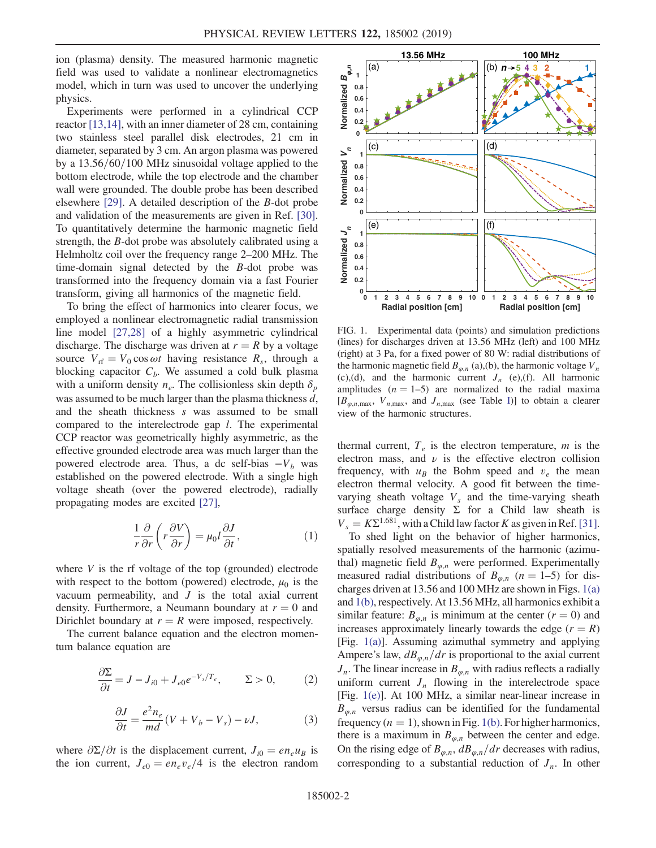ion (plasma) density. The measured harmonic magnetic field was used to validate a nonlinear electromagnetics model, which in turn was used to uncover the underlying physics.

Experiments were performed in a cylindrical CCP reactor [\[13,14\]](#page-4-8), with an inner diameter of 28 cm, containing two stainless steel parallel disk electrodes, 21 cm in diameter, separated by 3 cm. An argon plasma was powered by a  $13.56/60/100$  MHz sinusoidal voltage applied to the bottom electrode, while the top electrode and the chamber wall were grounded. The double probe has been described elsewhere [\[29\]](#page-4-15). A detailed description of the B-dot probe and validation of the measurements are given in Ref. [\[30\]](#page-4-16). To quantitatively determine the harmonic magnetic field strength, the B-dot probe was absolutely calibrated using a Helmholtz coil over the frequency range 2–200 MHz. The time-domain signal detected by the B-dot probe was transformed into the frequency domain via a fast Fourier transform, giving all harmonics of the magnetic field.

To bring the effect of harmonics into clearer focus, we employed a nonlinear electromagnetic radial transmission line model [\[27,28\]](#page-4-13) of a highly asymmetric cylindrical discharge. The discharge was driven at  $r = R$  by a voltage source  $V_{\text{rf}} = V_0 \cos \omega t$  having resistance  $R_s$ , through a blocking capacitor  $C_b$ . We assumed a cold bulk plasma with a uniform density  $n_e$ . The collisionless skin depth  $\delta_p$ was assumed to be much larger than the plasma thickness d, and the sheath thickness s was assumed to be small compared to the interelectrode gap l. The experimental CCP reactor was geometrically highly asymmetric, as the effective grounded electrode area was much larger than the powered electrode area. Thus, a dc self-bias  $-V_b$  was established on the powered electrode. With a single high voltage sheath (over the powered electrode), radially propagating modes are excited [\[27\]](#page-4-13),

$$
\frac{1}{r}\frac{\partial}{\partial r}\left(r\frac{\partial V}{\partial r}\right) = \mu_0 l \frac{\partial J}{\partial t},\tag{1}
$$

where  $V$  is the rf voltage of the top (grounded) electrode with respect to the bottom (powered) electrode,  $\mu_0$  is the vacuum permeability, and  $J$  is the total axial current density. Furthermore, a Neumann boundary at  $r = 0$  and Dirichlet boundary at  $r = R$  were imposed, respectively.

The current balance equation and the electron momentum balance equation are

$$
\frac{\partial \Sigma}{\partial t} = J - J_{i0} + J_{e0} e^{-V_s/T_e}, \qquad \Sigma > 0, \tag{2}
$$

$$
\frac{\partial J}{\partial t} = \frac{e^2 n_e}{md} (V + V_b - V_s) - \nu J,\tag{3}
$$

where  $\partial \Sigma/\partial t$  is the displacement current,  $J_{i0} = e n_e u_B$  is the ion current,  $J_{e0} = en_e v_e/4$  is the electron random

<span id="page-1-0"></span>

FIG. 1. Experimental data (points) and simulation predictions (lines) for discharges driven at 13.56 MHz (left) and 100 MHz (right) at 3 Pa, for a fixed power of 80 W: radial distributions of the harmonic magnetic field  $B_{\omega,n}$  (a),(b), the harmonic voltage  $V_n$ (c),(d), and the harmonic current  $J_n$  (e),(f). All harmonic amplitudes  $(n = 1-5)$  are normalized to the radial maxima  $[B_{\varphi,n,\text{max}}, V_{n,\text{max}}, \text{ and } J_{n,\text{max}} \text{ (see Table I)}]$  $[B_{\varphi,n,\text{max}}, V_{n,\text{max}}, \text{ and } J_{n,\text{max}} \text{ (see Table I)}]$  $[B_{\varphi,n,\text{max}}, V_{n,\text{max}}, \text{ and } J_{n,\text{max}} \text{ (see Table I)}]$  to obtain a clearer view of the harmonic structures.

thermal current,  $T_e$  is the electron temperature, m is the electron mass, and  $\nu$  is the effective electron collision frequency, with  $u_B$  the Bohm speed and  $v_e$  the mean electron thermal velocity. A good fit between the timevarying sheath voltage  $V_s$  and the time-varying sheath surface charge density  $\Sigma$  for a Child law sheath is  $V_s = K\Sigma^{1.681}$ , with a Child law factor K as given in Ref. [\[31\]](#page-4-17).

To shed light on the behavior of higher harmonics, spatially resolved measurements of the harmonic (azimuthal) magnetic field  $B_{\varphi,n}$  were performed. Experimentally measured radial distributions of  $B_{\varphi,n}$  (n = 1–5) for discharges driven at 13.56 and 100 MHz are shown in Figs. [1\(a\)](#page-1-0) and [1\(b\),](#page-1-0) respectively. At 13.56 MHz, all harmonics exhibit a similar feature:  $B_{\varphi,n}$  is minimum at the center  $(r = 0)$  and increases approximately linearly towards the edge  $(r = R)$ [Fig. [1\(a\)\]](#page-1-0). Assuming azimuthal symmetry and applying Ampere's law,  $dB_{\varphi,n}/dr$  is proportional to the axial current  $J_n$ . The linear increase in  $B_{\varphi,n}$  with radius reflects a radially uniform current  $J_n$  flowing in the interelectrode space [Fig. [1\(e\)\]](#page-1-0). At 100 MHz, a similar near-linear increase in  $B_{\varphi,n}$  versus radius can be identified for the fundamental frequency  $(n = 1)$ , shown in Fig. [1\(b\).](#page-1-0) For higher harmonics, there is a maximum in  $B_{\varphi,n}$  between the center and edge. On the rising edge of  $B_{\varphi,n}$ ,  $dB_{\varphi,n}/dr$  decreases with radius, corresponding to a substantial reduction of  $J_n$ . In other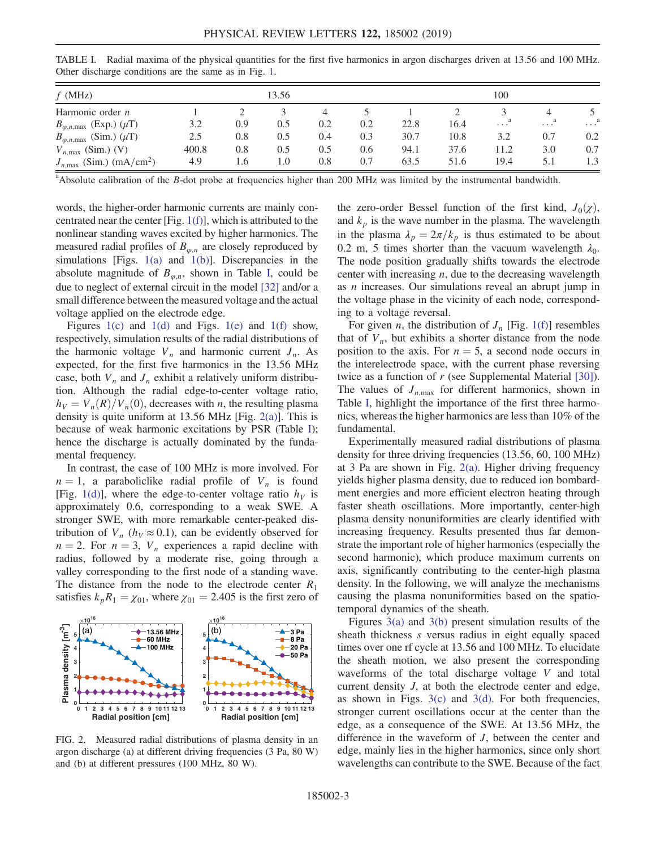| $f$ (MHz)                                          | 13.56 |     |     |     |     | 100  |      |              |                       |                |
|----------------------------------------------------|-------|-----|-----|-----|-----|------|------|--------------|-----------------------|----------------|
| Harmonic order $n$                                 |       |     |     |     |     |      |      |              |                       |                |
| $B_{\varphi,n,\text{max}}$ (Exp.) $(\mu \text{T})$ | 3.2   | 0.9 | 0.5 | 0.2 | 0.2 | 22.8 | 16.4 | $\cdots^{a}$ | $\ldots$ <sup>a</sup> | . <sup>a</sup> |
| $B_{\varphi,n,\text{max}}$ (Sim.) $(\mu \text{T})$ | 2.5   | 0.8 | 0.5 | 0.4 | 0.3 | 30.7 | 10.8 | 3.2          | 0.7                   | 0.2            |
| $V_{n,\text{max}}$ (Sim.) (V)                      | 400.8 | 0.8 | 0.5 | 0.5 | 0.6 | 94.1 | 37.6 | 11.2         | 3.0                   | 0.7            |
| $J_{n,\text{max}}$ (Sim.) (mA/cm <sup>2</sup> )    | 4.9   | 1.6 | 1.0 | 0.8 | 0.7 | 63.5 | 51.6 | 19.4         | 5.1                   | 1.3            |

<span id="page-2-0"></span>TABLE I. Radial maxima of the physical quantities for the first five harmonics in argon discharges driven at 13.56 and 100 MHz. Other discharge conditions are the same as in Fig. [1.](#page-1-0)

<sup>a</sup>Absolute calibration of the B-dot probe at frequencies higher than 200 MHz was limited by the instrumental bandwidth.

words, the higher-order harmonic currents are mainly concentrated near the center [Fig. [1\(f\)](#page-1-0)], which is attributed to the nonlinear standing waves excited by higher harmonics. The measured radial profiles of  $B_{\varphi,n}$  are closely reproduced by simulations [Figs.  $1(a)$  and  $1(b)$ ]. Discrepancies in the absolute magnitude of  $B_{\varphi,n}$ , shown in Table [I](#page-2-0), could be due to neglect of external circuit in the model [\[32\]](#page-4-18) and/or a small difference between the measured voltage and the actual voltage applied on the electrode edge.

Figures [1\(c\)](#page-1-0) and [1\(d\)](#page-1-0) and Figs. [1\(e\)](#page-1-0) and [1\(f\)](#page-1-0) show, respectively, simulation results of the radial distributions of the harmonic voltage  $V_n$  and harmonic current  $J_n$ . As expected, for the first five harmonics in the 13.56 MHz case, both  $V_n$  and  $J_n$  exhibit a relatively uniform distribution. Although the radial edge-to-center voltage ratio,  $h_V = V_n(R)/V_n(0)$ , decreases with n, the resulting plasma density is quite uniform at 13.56 MHz [Fig. [2\(a\)\]](#page-2-1). This is because of weak harmonic excitations by PSR (Table [I\)](#page-2-0); hence the discharge is actually dominated by the fundamental frequency.

In contrast, the case of 100 MHz is more involved. For  $n = 1$ , a paraboliclike radial profile of  $V_n$  is found [Fig. [1\(d\)\]](#page-1-0), where the edge-to-center voltage ratio  $h_V$  is approximately 0.6, corresponding to a weak SWE. A stronger SWE, with more remarkable center-peaked distribution of  $V_n$  ( $h_V \approx 0.1$ ), can be evidently observed for  $n = 2$ . For  $n = 3$ ,  $V_n$  experiences a rapid decline with radius, followed by a moderate rise, going through a valley corresponding to the first node of a standing wave. The distance from the node to the electrode center  $R_1$ satisfies  $k_p R_1 = \chi_{01}$ , where  $\chi_{01} = 2.405$  is the first zero of

<span id="page-2-1"></span>

FIG. 2. Measured radial distributions of plasma density in an argon discharge (a) at different driving frequencies (3 Pa, 80 W) and (b) at different pressures (100 MHz, 80 W).

the zero-order Bessel function of the first kind,  $J_0(\chi)$ , and  $k_p$  is the wave number in the plasma. The wavelength in the plasma  $\lambda_p = 2\pi/k_p$  is thus estimated to be about 0.2 m, 5 times shorter than the vacuum wavelength  $\lambda_0$ . The node position gradually shifts towards the electrode center with increasing  $n$ , due to the decreasing wavelength as n increases. Our simulations reveal an abrupt jump in the voltage phase in the vicinity of each node, corresponding to a voltage reversal.

For given *n*, the distribution of  $J_n$  [Fig. [1\(f\)\]](#page-1-0) resembles that of  $V_n$ , but exhibits a shorter distance from the node position to the axis. For  $n = 5$ , a second node occurs in the interelectrode space, with the current phase reversing twice as a function of r (see Supplemental Material [\[30\]](#page-4-16)). The values of  $J_{n,\text{max}}$  for different harmonics, shown in Table [I,](#page-2-0) highlight the importance of the first three harmonics, whereas the higher harmonics are less than 10% of the fundamental.

Experimentally measured radial distributions of plasma density for three driving frequencies (13.56, 60, 100 MHz) at 3 Pa are shown in Fig. [2\(a\).](#page-2-1) Higher driving frequency yields higher plasma density, due to reduced ion bombardment energies and more efficient electron heating through faster sheath oscillations. More importantly, center-high plasma density nonuniformities are clearly identified with increasing frequency. Results presented thus far demonstrate the important role of higher harmonics (especially the second harmonic), which produce maximum currents on axis, significantly contributing to the center-high plasma density. In the following, we will analyze the mechanisms causing the plasma nonuniformities based on the spatiotemporal dynamics of the sheath.

Figures [3\(a\)](#page-3-0) and [3\(b\)](#page-3-0) present simulation results of the sheath thickness s versus radius in eight equally spaced times over one rf cycle at 13.56 and 100 MHz. To elucidate the sheath motion, we also present the corresponding waveforms of the total discharge voltage V and total current density J, at both the electrode center and edge, as shown in Figs.  $3(c)$  and  $3(d)$ . For both frequencies, stronger current oscillations occur at the center than the edge, as a consequence of the SWE. At 13.56 MHz, the difference in the waveform of J, between the center and edge, mainly lies in the higher harmonics, since only short wavelengths can contribute to the SWE. Because of the fact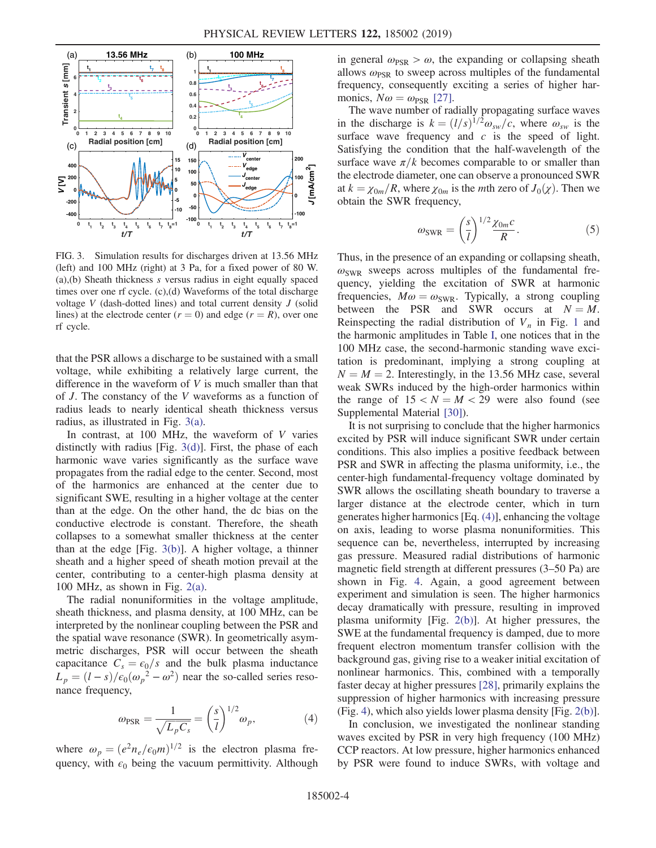<span id="page-3-0"></span>

FIG. 3. Simulation results for discharges driven at 13.56 MHz (left) and 100 MHz (right) at 3 Pa, for a fixed power of 80 W. (a),(b) Sheath thickness s versus radius in eight equally spaced times over one rf cycle. (c),(d) Waveforms of the total discharge voltage  $V$  (dash-dotted lines) and total current density  $J$  (solid lines) at the electrode center  $(r = 0)$  and edge  $(r = R)$ , over one rf cycle.

that the PSR allows a discharge to be sustained with a small voltage, while exhibiting a relatively large current, the difference in the waveform of  $V$  is much smaller than that of J. The constancy of the V waveforms as a function of radius leads to nearly identical sheath thickness versus radius, as illustrated in Fig. [3\(a\)](#page-3-0).

In contrast, at  $100$  MHz, the waveform of  $V$  varies distinctly with radius [Fig. [3\(d\)\]](#page-3-0). First, the phase of each harmonic wave varies significantly as the surface wave propagates from the radial edge to the center. Second, most of the harmonics are enhanced at the center due to significant SWE, resulting in a higher voltage at the center than at the edge. On the other hand, the dc bias on the conductive electrode is constant. Therefore, the sheath collapses to a somewhat smaller thickness at the center than at the edge [Fig. [3\(b\)](#page-3-0)]. A higher voltage, a thinner sheath and a higher speed of sheath motion prevail at the center, contributing to a center-high plasma density at 100 MHz, as shown in Fig. [2\(a\).](#page-2-1)

The radial nonuniformities in the voltage amplitude, sheath thickness, and plasma density, at 100 MHz, can be interpreted by the nonlinear coupling between the PSR and the spatial wave resonance (SWR). In geometrically asymmetric discharges, PSR will occur between the sheath capacitance  $C_s = \epsilon_0/s$  and the bulk plasma inductance  $L_p = (l - s)/\epsilon_0(\omega_p^2 - \omega^2)$  near the so-called series resonance frequency,

$$
\omega_{\rm PSR} = \frac{1}{\sqrt{L_p C_s}} = \left(\frac{s}{l}\right)^{1/2} \omega_p,\tag{4}
$$

<span id="page-3-1"></span>where  $\omega_p = (e^2 n_e/\epsilon_0 m)^{1/2}$  is the electron plasma frequency, with  $\epsilon_0$  being the vacuum permittivity. Although in general  $\omega_{PSR} > \omega$ , the expanding or collapsing sheath allows  $\omega_{PSR}$  to sweep across multiples of the fundamental frequency, consequently exciting a series of higher harmonics,  $N\omega = \omega_{PSR}$  [\[27\].](#page-4-13)

The wave number of radially propagating surface waves in the discharge is  $k = (l/s)^{1/2} \omega_{sw}/c$ , where  $\omega_{sw}$  is the surface wave frequency and  $c$  is the speed of light. Satisfying the condition that the half-wavelength of the surface wave  $\pi/k$  becomes comparable to or smaller than the electrode diameter, one can observe a pronounced SWR at  $k = \chi_{0m}/R$ , where  $\chi_{0m}$  is the *mth* zero of  $J_0(\chi)$ . Then we obtain the SWR frequency,

$$
\omega_{\text{SWR}} = \left(\frac{s}{l}\right)^{1/2} \frac{\chi_{0m}c}{R}.\tag{5}
$$

Thus, in the presence of an expanding or collapsing sheath,  $\omega_{\text{SWR}}$  sweeps across multiples of the fundamental frequency, yielding the excitation of SWR at harmonic frequencies,  $M\omega = \omega_{\text{SWR}}$ . Typically, a strong coupling between the PSR and SWR occurs at  $N = M$ . Reinspecting the radial distribution of  $V_n$  in Fig. [1](#page-1-0) and the harmonic amplitudes in Table [I,](#page-2-0) one notices that in the 100 MHz case, the second-harmonic standing wave excitation is predominant, implying a strong coupling at  $N = M = 2$ . Interestingly, in the 13.56 MHz case, several weak SWRs induced by the high-order harmonics within the range of  $15 < N = M < 29$  were also found (see Supplemental Material [\[30\]\)](#page-4-16).

It is not surprising to conclude that the higher harmonics excited by PSR will induce significant SWR under certain conditions. This also implies a positive feedback between PSR and SWR in affecting the plasma uniformity, i.e., the center-high fundamental-frequency voltage dominated by SWR allows the oscillating sheath boundary to traverse a larger distance at the electrode center, which in turn generates higher harmonics [Eq. [\(4\)\]](#page-3-1), enhancing the voltage on axis, leading to worse plasma nonuniformities. This sequence can be, nevertheless, interrupted by increasing gas pressure. Measured radial distributions of harmonic magnetic field strength at different pressures (3–50 Pa) are shown in Fig. [4](#page-4-19). Again, a good agreement between experiment and simulation is seen. The higher harmonics decay dramatically with pressure, resulting in improved plasma uniformity [Fig. [2\(b\)\]](#page-2-1). At higher pressures, the SWE at the fundamental frequency is damped, due to more frequent electron momentum transfer collision with the background gas, giving rise to a weaker initial excitation of nonlinear harmonics. This, combined with a temporally faster decay at higher pressures [\[28\]](#page-4-14), primarily explains the suppression of higher harmonics with increasing pressure (Fig. [4](#page-4-19)), which also yields lower plasma density [Fig. [2\(b\)](#page-2-1)].

In conclusion, we investigated the nonlinear standing waves excited by PSR in very high frequency (100 MHz) CCP reactors. At low pressure, higher harmonics enhanced by PSR were found to induce SWRs, with voltage and